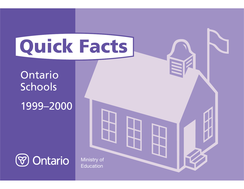

# OntarioSchools

## 1999–2000



Ministry of Education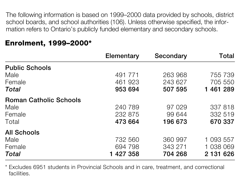The following information is based on 1999–2000 data provided by schools, district school boards, and school authorities (106). Unless otherwise specified, the information refers to Ontario's publicly funded elementary and secondary schools.

|                               | <b>Elementary</b> | Secondary | Total     |
|-------------------------------|-------------------|-----------|-----------|
| <b>Public Schools</b>         |                   |           |           |
| Male                          | 491 771           | 263 968   | 755 739   |
| Female                        | 461 923           | 243 627   | 705 550   |
| Total                         | 953 694           | 507 595   | 1 461 289 |
| <b>Roman Catholic Schools</b> |                   |           |           |
| Male                          | 240 789           | 97 029    | 337 818   |
| Female                        | 232 875           | 99 644    | 332 519   |
| Total                         | 473 664           | 196 673   | 670 337   |
| <b>All Schools</b>            |                   |           |           |
| Male                          | 732 560           | 360 997   | 1 093 557 |
| Female                        | 694 798           | 343 271   | 1 038 069 |
| Total                         | 1 427 358         | 704 268   | 2 131 626 |

## **Enrolment, 1999–2000\***

\* Excludes 6951 students in Provincial Schools and in care, treatment, and correctional facilities.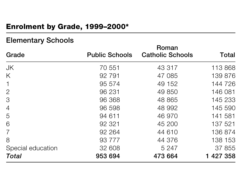## **Enrolment by Grade, 1999–2000\***

## **Elementary Schools**

| Grade             | <b>Public Schools</b> | Roman<br><b>Catholic Schools</b> | <b>Total</b> |
|-------------------|-----------------------|----------------------------------|--------------|
| <b>JK</b>         | 70 551                | 43 317                           | 113 868      |
| K                 | 92 791                | 47 085                           | 139 876      |
| $\mathbf 1$       | 95 574                | 49 152                           | 144 726      |
| $\overline{2}$    | 96 231                | 49 850                           | 146 081      |
| $\mathcal{S}$     | 96 368                | 48 865                           | 145 233      |
| $\overline{4}$    | 96 598                | 48 992                           | 145 590      |
| 5                 | 94 611                | 46 970                           | 141 581      |
| 6                 | 92 321                | 45 200                           | 137 521      |
| $\overline{7}$    | 92 264                | 44 610                           | 136 874      |
| 8                 | 93 777                | 44 376                           | 138 153      |
| Special education | 32 608                | 5 2 4 7                          | 37 855       |
| <b>Total</b>      | 953 694               | 473 664                          | 1 427 358    |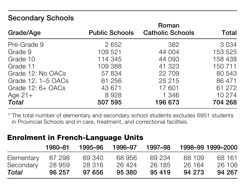## **Secondary Schools**

| Grade/Age          | <b>Public Schools</b> | Roman<br><b>Catholic Schools</b> | Total   |
|--------------------|-----------------------|----------------------------------|---------|
| Pre-Grade 9        | 2 6 5 2               | 382                              | 3 0 3 4 |
| Grade 9            | 109 521               | 44 004                           | 153 525 |
| Grade 10           | 114 345               | 44 093                           | 158 438 |
| Grade 11           | 109 388               | 41 323                           | 150 711 |
| Grade 12: No OACs  | 57 834                | 22 709                           | 80 543  |
| Grade 12: 1-5 OACs | 61 256                | 25 215                           | 86 471  |
| Grade $12:6+OACS$  | 43 671                | 17 601                           | 61 272  |
| Age $21+$          | 8928                  | 1 346                            | 10 274  |
| <b>Total</b>       | 507 595               | 196 673                          | 704 268 |

\* The total number of elementary and secondary school students excludes 6951 students in Provincial Schools and in care, treatment, and correctional facilities.

## **Enrolment in French-Language Units**

|            | 1980–81 | 1995–96 | 1996–97 | 1997–98 |        | 1998-99 1999-2000 |
|------------|---------|---------|---------|---------|--------|-------------------|
| Elementary | 67 298  | 69 340  | 68956   | 69 234  | 68 109 | 68 161            |
| Secondary  | 28 959  | 28 316  | 26 424  | 26 185  | 26 164 | 26 106            |
| Total      | 96 257  | 97 656  | 95 380  | 95 419  | 94 273 | 94 267            |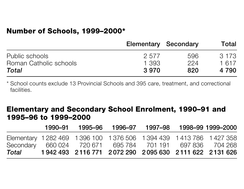#### **Number of Schools, 1999–2000\***

|                        | <b>Elementary Secondary</b> |     | Total   |
|------------------------|-----------------------------|-----|---------|
| Public schools         | 2577                        | 596 | 3 1 7 3 |
| Roman Catholic schools | 1.393                       | 224 | 1 617   |
| Total                  | 3970                        | 820 | 4 790   |

\* School counts exclude 13 Provincial Schools and 395 care, treatment, and correctional facilities.

#### **Elementary and Secondary School Enrolment, 1990–91 and 1995–96 to 1999–2000**

|       | 1990–91 |                                                                  | 1995–96  1996–97 | 1997–98 | 1998–99 1999–2000 |
|-------|---------|------------------------------------------------------------------|------------------|---------|-------------------|
|       |         | Elementary 1282 469 1396 100 1376 506 1394 439 1413 786 1427 358 |                  |         |                   |
|       |         | Secondary 660 024 720 671 695 784 701 191 697 836 704 268        |                  |         |                   |
| Total |         | 1942 493 2116 771 2072 290 2095 630 2111 622 2131 626            |                  |         |                   |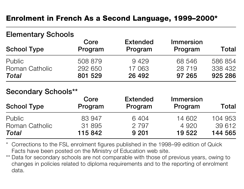## **Enrolment in French As a Second Language, 1999–2000\***

## **Elementary Schools**

| <b>School Type</b> | Core<br>Program | <b>Extended</b><br>Program | <b>Immersion</b><br>Program | Total   |
|--------------------|-----------------|----------------------------|-----------------------------|---------|
| <b>Public</b>      | 508 879         | 9429                       | 68 546                      | 586 854 |
| Roman Catholic     | 292 650         | 17 063                     | 28 7 1 9                    | 338 432 |
| Total              | 801 529         | 26 492                     | 97 265                      | 925 286 |

#### **Secondary Schools\*\***

| <b>School Type</b>    | Core<br>Program | <b>Extended</b><br>Program | Immersion<br>Program | Total   |
|-----------------------|-----------------|----------------------------|----------------------|---------|
| <b>Public</b>         | 83 947          | 6404                       | 14 602               | 104 953 |
| <b>Roman Catholic</b> | 31 895          | 2 7 9 7                    | 4 9 2 0              | 39 612  |
| <b>Total</b>          | 115 842         | 9 2 0 1                    | 19 522               | 144 565 |

- \* Corrections to the FSL enrolment figures published in the 1998–99 edition of Quick Facts have been posted on the Ministry of Education web site.
- \*\* Data for secondary schools are not comparable with those of previous years, owing to changes in policies related to diploma requirements and to the reporting of enrolment data.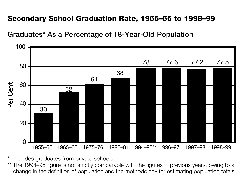## **Secondary School Graduation Rate, 1955–56 to 1998–99**

#### **Graduates\* As a Percentage of 18-Year-Old Population**



- \*Includes graduates from private schools.
- \*\* The 1994–95 figure is not strictly comparable with the figures in previous years, owing to a change in the definition of population and the methodology for estimating population totals.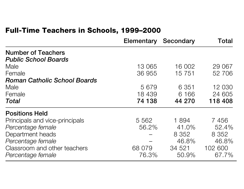## **Full-Time Teachers in Schools, 1999–2000**

|                                     | <b>Elementary Secondary</b> |         | Total   |
|-------------------------------------|-----------------------------|---------|---------|
| <b>Number of Teachers</b>           |                             |         |         |
| <b>Public School Boards</b>         |                             |         |         |
| Male                                | 13 065                      | 16 002  | 29 067  |
| Female                              | 36 955                      | 15 7 51 | 52 706  |
| <b>Roman Catholic School Boards</b> |                             |         |         |
| Male                                | 5 6 7 9                     | 6 3 5 1 | 12 030  |
| Female                              | 18 439                      | 6 1 6 6 | 24 605  |
| <b>Total</b>                        | 74 138                      | 44 270  | 118 408 |
| <b>Positions Held</b>               |                             |         |         |
| Principals and vice-principals      | 5 5 6 2                     | 1894    | 7456    |
| Percentage female                   | 56.2%                       | 41.0%   | 52.4%   |
| Department heads                    |                             | 8 3 5 2 | 8 3 5 2 |
| Percentage female                   |                             | 46.8%   | 46.8%   |
| Classroom and other teachers        | 68 079                      | 34 521  | 102 600 |
| Percentage female                   | 76.3%                       | 50.9%   | 67 7%   |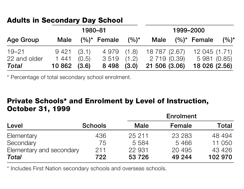## **Adults in Secondary Day School**

| 1980-81               |                     |       |                      | 1999-2000 |                               |  |                               |         |
|-----------------------|---------------------|-------|----------------------|-----------|-------------------------------|--|-------------------------------|---------|
| <b>Age Group</b>      | <b>Male</b>         |       | $(%)^*$ Female       | $(9/0)^*$ | Male                          |  | $(%)^*$ Female                | $(%)^*$ |
| $19 - 21$             | 9421(3.1)           |       | 4 979 (1.8)          |           |                               |  | 18 787 (2.67) 12 045 (1.71)   |         |
| 22 and older<br>Total | 1 441<br>10862(3.6) | (0.5) | 3519(1.2)<br>8 4 9 8 | (3.0)     | 2 719 (0.39)<br>21 506 (3.06) |  | 5 981 (0.85)<br>18 026 (2.56) |         |

\* Percentage of total secondary school enrolment.

## **Private Schools\* and Enrolment by Level of Instruction, October 31, 1999**

|                          |                | <b>Enrolment</b> |         |         |  |
|--------------------------|----------------|------------------|---------|---------|--|
| Level                    | <b>Schools</b> | <b>Male</b>      | Female  | Total   |  |
| Elementary               | 436            | 25 211           | 23 2 83 | 48 494  |  |
| Secondary                | 75             | 5 5 8 4          | 5466    | 11 050  |  |
| Elementary and secondary | 211            | 22 931           | 20 4 95 | 43 4 26 |  |
| Total                    | 722            | 53 7 26          | 49 244  | 102 970 |  |

\* Includes First Nation secondary schools and overseas schools.